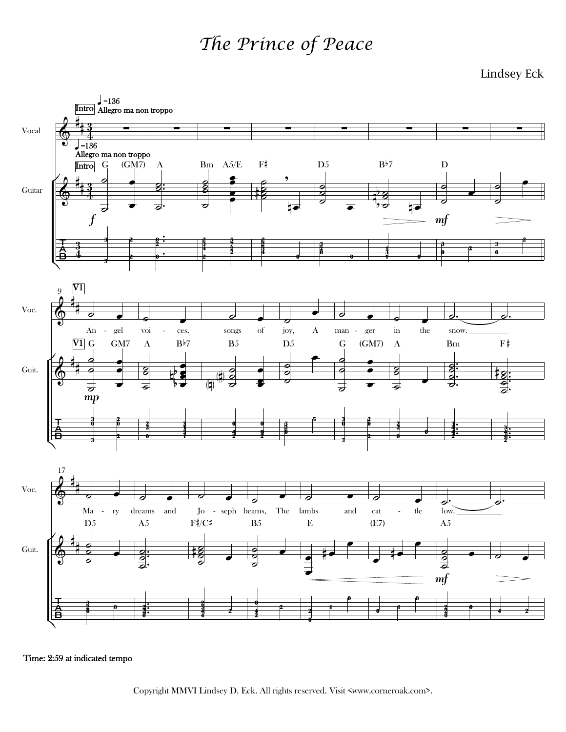## *The Prince of Peace*

Lindsey Eck



Time: 2:59 at indicated tempo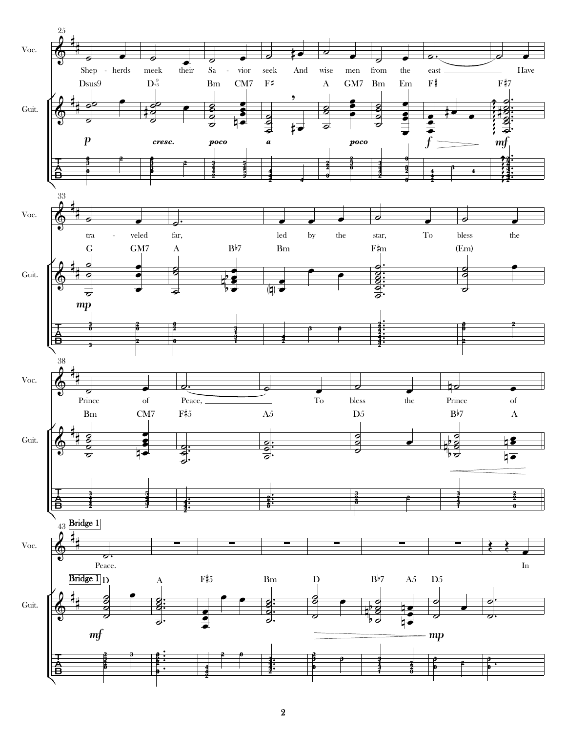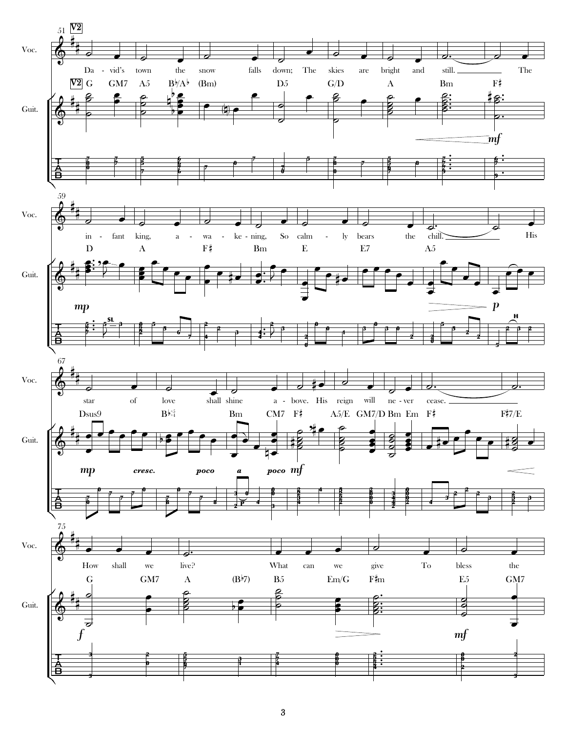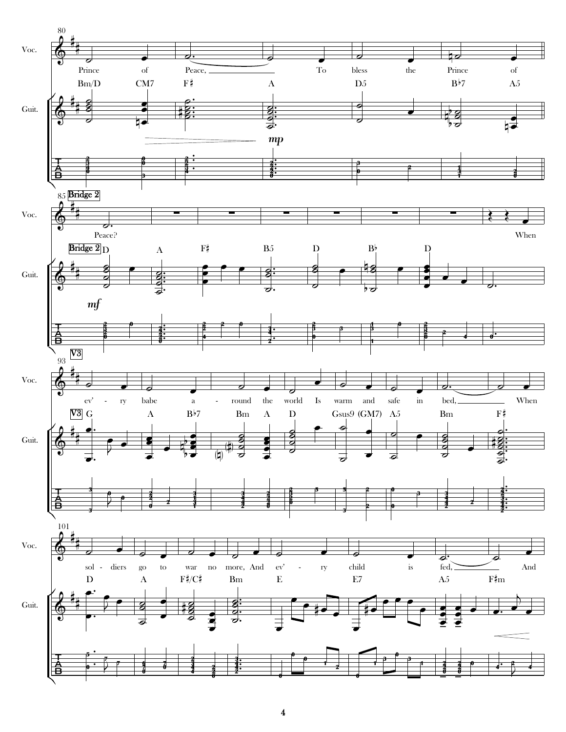